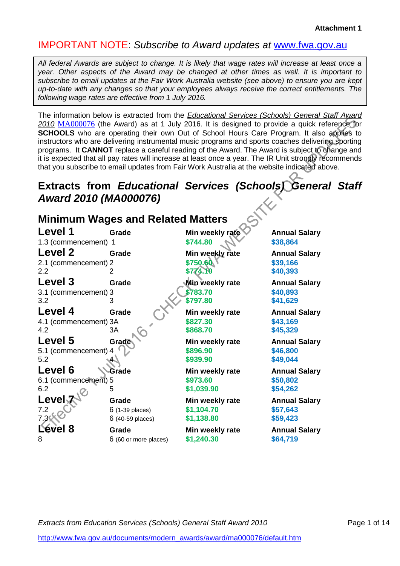# IMPORTANT NOTE: *Subscribe to Award updates at* [www.fwa.gov.au](http://www.fwa.gov.au/)

*All federal Awards are subject to change. It is likely that wage rates will increase at least once a year. Other aspects of the Award may be changed at other times as well. It is important to subscribe to email updates at the Fair Work Australia website (see above) to ensure you are kept up-to-date with any changes so that your employees always receive the correct entitlements. The following wage rates are effective from 1 July 2016.*

The information below is extracted from the *Educational Services (Schools) General Staff Award 2010* [MA000076](http://www.fwc.gov.au/documents/modern_awards/award/ma000076/default.htm) (the Award) as at 1 July 2016. It is designed to provide a quick reference for **SCHOOLS** who are operating their own Out of School Hours Care Program. It also applies to instructors who are delivering instrumental music programs and sports coaches delivering sporting programs. It **CANNOT** replace a careful reading of the Award. The Award is subject to change and it is expected that all pay rates will increase at least once a year. The IR Unit strongly recommends that you subscribe to email updates from Fair Work Australia at the website indicated above.

# **Extracts from** *Educational Services (Schools) General Staff Award 2010 (MA000076)*

| <b>Minimum Wages and Related Matters</b> |                       |                        |                      |  |
|------------------------------------------|-----------------------|------------------------|----------------------|--|
| Level 1                                  | Grade                 | Min weekly rate        | <b>Annual Salary</b> |  |
| 1.3 (commencement) 1                     |                       | \$744.80               | \$38,864             |  |
| <b>Level 2</b>                           | Grade                 | Min weekly rate        | <b>Annual Salary</b> |  |
| 2.1 (commencement) 2                     |                       | \$750.60               | \$39,166             |  |
| $2.2\phantom{0}$                         | 2                     | \$774.10               | \$40,393             |  |
| Level 3                                  | Grade                 | <b>Min weekly rate</b> | <b>Annual Salary</b> |  |
| 3.1 (commencement) 3                     |                       | \$783.70               | \$40,893             |  |
| 3.2                                      | 3                     | \$797.80               | \$41,629             |  |
| Level 4                                  | Grade                 | Min weekly rate        | <b>Annual Salary</b> |  |
| 4.1 (commencement) 3A                    |                       | \$827.30               | \$43,169             |  |
| 4.2                                      | ЗΑ                    | \$868.70               | \$45,329             |  |
| Level 5                                  | Grade                 | Min weekly rate        | <b>Annual Salary</b> |  |
| 5.1 (commencement) 4                     |                       | \$896.90               | \$46,800             |  |
| 5.2                                      |                       | \$939.90               | \$49,044             |  |
| Level 6                                  | Grade                 | Min weekly rate        | <b>Annual Salary</b> |  |
| 6.1 (commencement) 5                     |                       | \$973.60               | \$50,802             |  |
| 6.2                                      | 5                     | \$1,039.90             | \$54,262             |  |
| Level√                                   | Grade                 | Min weekly rate        | <b>Annual Salary</b> |  |
| 7.2                                      | 6 (1-39 places)       | \$1,104.70             | \$57,643             |  |
| 7.3%                                     | 6 (40-59 places)      | \$1,138.80             | \$59,423             |  |
| Level 8                                  | Grade                 | Min weekly rate        | <b>Annual Salary</b> |  |
| 8                                        | 6 (60 or more places) | \$1,240.30             | \$64,719             |  |

**Extracts from Education Services (Schools) General Staff Award 2010** Page 1 of 14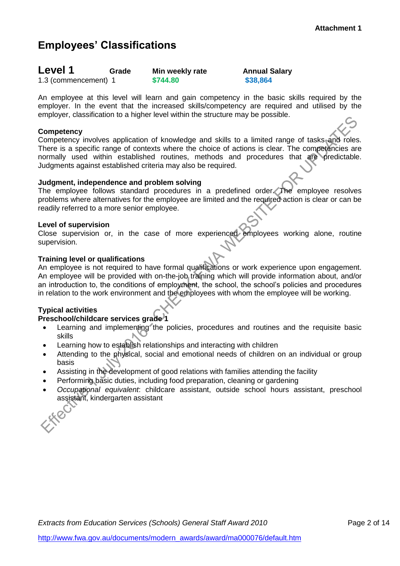# **Employees' Classifications**

| Level 1              | Grade | Min weekly rate | <b>Annual Salary</b> |
|----------------------|-------|-----------------|----------------------|
| 1.3 (commencement) 1 |       | \$744.80        | \$38,864             |

An employee at this level will learn and gain competency in the basic skills required by the employer. In the event that the increased skills/competency are required and utilised by the employer, classification to a higher level within the structure may be possible.

# **Competency**

Competency involves application of knowledge and skills to a limited range of tasks and roles. There is a specific range of contexts where the choice of actions is clear. The competencies are normally used within established routines, methods and procedures that are predictable. Judgments against established criteria may also be required.

# **Judgment, independence and problem solving**

The employee follows standard procedures in a predefined order. The employee resolves problems where alternatives for the employee are limited and the required action is clear or can be readily referred to a more senior employee.

# **Level of supervision**

Close supervision or, in the case of more experienced employees working alone, routine supervision.

# **Training level or qualifications**

An employee is not required to have formal qualifications or work experience upon engagement. An employee will be provided with on-the-job training which will provide information about, and/or an introduction to, the conditions of employment, the school, the school's policies and procedures in relation to the work environment and the employees with whom the employee will be working.

# **Typical activities**

- Learning and implementing the policies, procedures and routines and the requisite basic skills
- Learning how to establish relationships and interacting with children
- Attending to the physical, social and emotional needs of children on an individual or group basis
- Assisting in the development of good relations with families attending the facility
- Performing basic duties, including food preparation, cleaning or gardening
- *Occupational equivalent*: childcare assistant, outside school hours assistant, preschool assistant, kindergarten assistant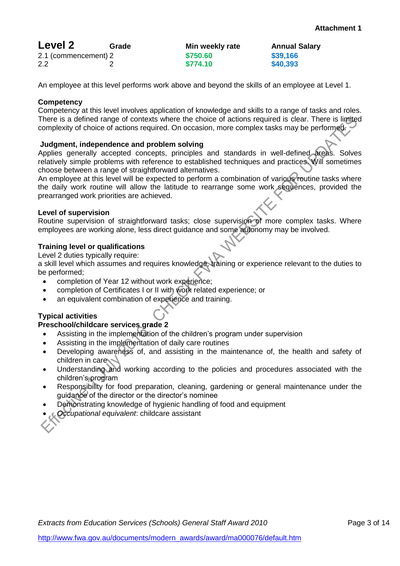**Annual Salary<br>\$39.166** 

| <b>Level 2</b>       | Grade | Min weekly rate | Annual   |
|----------------------|-------|-----------------|----------|
| 2.1 (commencement) 2 |       | \$750.60        | \$39,166 |
| 2.2                  |       | \$774.10        | \$40,393 |

An employee at this level performs work above and beyond the skills of an employee at Level 1.

#### **Competency**

Competency at this level involves application of knowledge and skills to a range of tasks and roles. There is a defined range of contexts where the choice of actions required is clear. There is limited complexity of choice of actions required. On occasion, more complex tasks may be performed.

## **Judgment, independence and problem solving**

Applies generally accepted concepts, principles and standards in well-defined areas. Solves relatively simple problems with reference to established techniques and practices. Will sometimes choose between a range of straightforward alternatives.

An employee at this level will be expected to perform a combination of various routine tasks where the daily work routine will allow the latitude to rearrange some work sequences, provided the prearranged work priorities are achieved.

#### **Level of supervision**

Routine supervision of straightforward tasks; close supervision of more complex tasks. Where employees are working alone, less direct guidance and some autonomy may be involved.

## **Training level or qualifications**

Level 2 duties typically require:

a skill level which assumes and requires knowledge, training or experience relevant to the duties to be performed;

- completion of Year 12 without work experience;
- completion of Certificates I or II with work related experience; or
- an equivalent combination of experience and training.

# **Typical activities**

- Assisting in the implementation of the children's program under supervision
- Assisting in the implementation of daily care routines
- Developing awareness of, and assisting in the maintenance of, the health and safety of children in care
- Understanding and working according to the policies and procedures associated with the children's program
- Responsibility for food preparation, cleaning, gardening or general maintenance under the guidance of the director or the director's nominee
- Demonstrating knowledge of hygienic handling of food and equipment
- *Occupational equivalent*: childcare assistant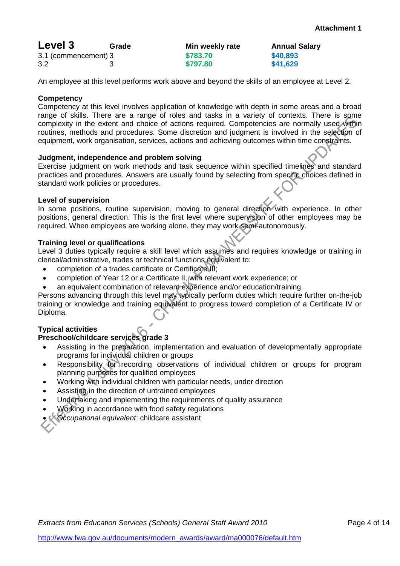| Level 3              | Grade | Min weekly rate | <b>Annual Salary</b> |
|----------------------|-------|-----------------|----------------------|
| 3.1 (commencement) 3 |       | \$783.70        | \$40,893             |
| 3.2                  |       | \$797.80        | \$41,629             |

An employee at this level performs work above and beyond the skills of an employee at Level 2.

## **Competency**

Competency at this level involves application of knowledge with depth in some areas and a broad range of skills. There are a range of roles and tasks in a variety of contexts. There is some complexity in the extent and choice of actions required. Competencies are normally used within routines, methods and procedures. Some discretion and judgment is involved in the selection of equipment, work organisation, services, actions and achieving outcomes within time constraints.

## **Judgment, independence and problem solving**

Exercise judgment on work methods and task sequence within specified timelines and standard practices and procedures. Answers are usually found by selecting from specific choices defined in standard work policies or procedures.

## **Level of supervision**

In some positions, routine supervision, moving to general direction with experience. In other positions, general direction. This is the first level where supervision of other employees may be required. When employees are working alone, they may work semi-autonomously.

## **Training level or qualifications**

Level 3 duties typically require a skill level which assumes and requires knowledge or training in clerical/administrative, trades or technical functions equivalent to:

- completion of a trades certificate or Certificate III;
- completion of Year 12 or a Certificate II, with relevant work experience; or
- an equivalent combination of relevant experience and/or education/training.

Persons advancing through this level may typically perform duties which require further on-the-job training or knowledge and training equivalent to progress toward completion of a Certificate IV or Diploma.

# **Typical activities**

- Assisting in the preparation, implementation and evaluation of developmentally appropriate programs for individual children or groups
- Responsibility for recording observations of individual children or groups for program planning purposes for qualified employees
- Working with individual children with particular needs, under direction
- Assisting in the direction of untrained employees
- Undertaking and implementing the requirements of quality assurance
- Working in accordance with food safety regulations
- *Occupational equivalent*: childcare assistant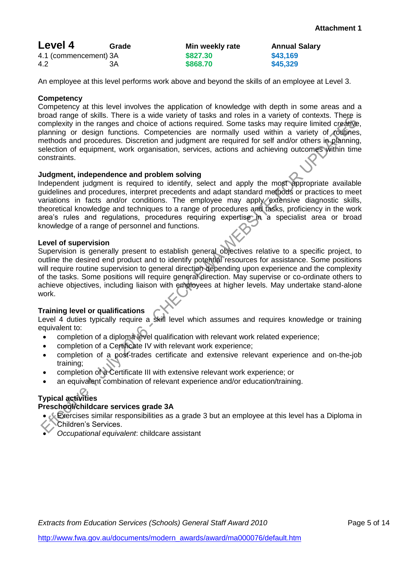| Level 4               | Grade | Min weekly rate | <b>Annual Salary</b> |
|-----------------------|-------|-----------------|----------------------|
| 4.1 (commencement) 3A |       | \$827.30        | \$43,169             |
| 4.2                   | ЗA    | \$868.70        | \$45,329             |

An employee at this level performs work above and beyond the skills of an employee at Level 3.

## **Competency**

Competency at this level involves the application of knowledge with depth in some areas and a broad range of skills. There is a wide variety of tasks and roles in a variety of contexts. There is complexity in the ranges and choice of actions required. Some tasks may require limited creative, planning or design functions. Competencies are normally used within a variety of routines, methods and procedures. Discretion and judgment are required for self and/or others in planning, selection of equipment, work organisation, services, actions and achieving outcomes within time constraints.

## **Judgment, independence and problem solving**

Independent judgment is required to identify, select and apply the most appropriate available guidelines and procedures, interpret precedents and adapt standard methods or practices to meet variations in facts and/or conditions. The employee may apply extensive diagnostic skills, theoretical knowledge and techniques to a range of procedures and tasks, proficiency in the work area's rules and regulations, procedures requiring expertise in a specialist area or broad knowledge of a range of personnel and functions.

## **Level of supervision**

Supervision is generally present to establish general objectives relative to a specific project, to outline the desired end product and to identify potential resources for assistance. Some positions will require routine supervision to general direction depending upon experience and the complexity of the tasks. Some positions will require general direction. May supervise or co-ordinate others to achieve objectives, including liaison with employees at higher levels. May undertake stand-alone work.

# **Training level or qualifications**

Level 4 duties typically require a skill level which assumes and requires knowledge or training equivalent to:

- completion of a diploma level qualification with relevant work related experience;
- completion of a Certificate IV with relevant work experience;
- completion of a post-trades certificate and extensive relevant experience and on-the-job training;
- completion of a Certificate III with extensive relevant work experience; or
- an equivalent combination of relevant experience and/or education/training.

# **Typical activities**

- **Exercises similar responsibilities as a grade 3 but an employee at this level has a Diploma in** Children's Services.
- *Occupational equivalent*: childcare assistant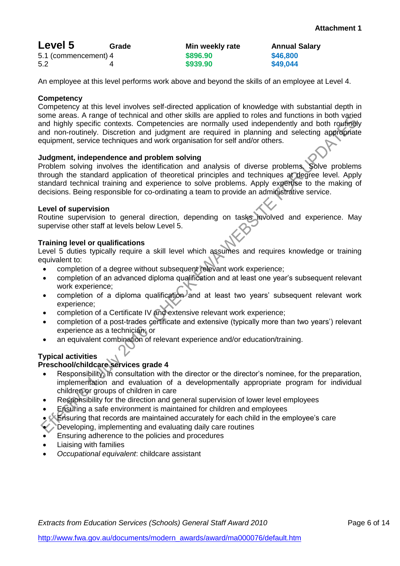| Level 5              | Grade | Min weekly rate | <b>Annual Salary</b> |
|----------------------|-------|-----------------|----------------------|
| 5.1 (commencement) 4 |       | \$896.90        | \$46,800             |
| 5.2                  |       | \$939.90        | \$49,044             |

An employee at this level performs work above and beyond the skills of an employee at Level 4.

# **Competency**

Competency at this level involves self-directed application of knowledge with substantial depth in some areas. A range of technical and other skills are applied to roles and functions in both varied and highly specific contexts. Competencies are normally used independently and both routinely and non-routinely. Discretion and judgment are required in planning and selecting appropriate equipment, service techniques and work organisation for self and/or others.

## **Judgment, independence and problem solving**

Problem solving involves the identification and analysis of diverse problems. Solve problems through the standard application of theoretical principles and techniques at degree level. Apply standard technical training and experience to solve problems. Apply expertise to the making of decisions. Being responsible for co-ordinating a team to provide an administrative service.

#### **Level of supervision**

Routine supervision to general direction, depending on tasks involved and experience. May supervise other staff at levels below Level 5.

## **Training level or qualifications**

Level 5 duties typically require a skill level which assumes and requires knowledge or training equivalent to:

- completion of a degree without subsequent relevant work experience;
- completion of an advanced diploma qualification and at least one year's subsequent relevant work experience;
- completion of a diploma qualification and at least two years' subsequent relevant work experience;
- completion of a Certificate IV and extensive relevant work experience;
- completion of a post-trades certificate and extensive (typically more than two years') relevant experience as a technician; or
- an equivalent combination of relevant experience and/or education/training.

# **Typical activities**

- Responsibility, in consultation with the director or the director's nominee, for the preparation, implementation and evaluation of a developmentally appropriate program for individual children or groups of children in care
- Responsibility for the direction and general supervision of lower level employees
- Ensuring a safe environment is maintained for children and employees
- Ensuring that records are maintained accurately for each child in the employee's care
- Developing, implementing and evaluating daily care routines
- Ensuring adherence to the policies and procedures
- Liaising with families
- *Occupational equivalent*: childcare assistant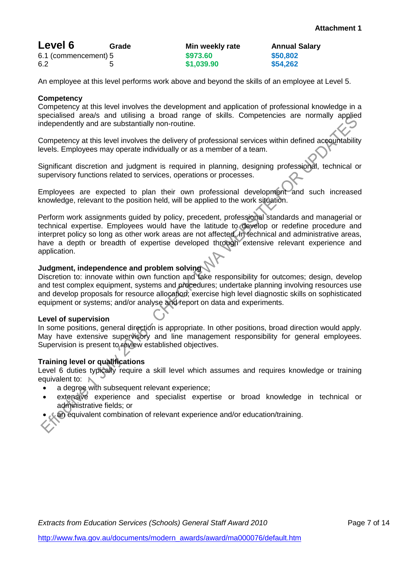| Level 6              | Grade | Min weekly rate | Annual   |
|----------------------|-------|-----------------|----------|
| 6.1 (commencement) 5 |       | \$973,60        | \$50,802 |
| 6.2                  |       | \$1,039.90      | \$54,262 |

ekly rate <mark>Annual Salary</mark><br>Annual Salary

An employee at this level performs work above and beyond the skills of an employee at Level 5.

#### **Competency**

Competency at this level involves the development and application of professional knowledge in a specialised area/s and utilising a broad range of skills. Competencies are normally applied independently and are substantially non-routine.

Competency at this level involves the delivery of professional services within defined accountability levels. Employees may operate individually or as a member of a team.

Significant discretion and judgment is required in planning, designing professional, technical or supervisory functions related to services, operations or processes.

Employees are expected to plan their own professional development and such increased knowledge, relevant to the position held, will be applied to the work situation.

Perform work assignments guided by policy, precedent, professional standards and managerial or technical expertise. Employees would have the latitude to develop or redefine procedure and interpret policy so long as other work areas are not affected. In technical and administrative areas, have a depth or breadth of expertise developed through extensive relevant experience and application.

# **Judgment, independence and problem solving**

Discretion to: innovate within own function and take responsibility for outcomes; design, develop and test complex equipment, systems and procedures; undertake planning involving resources use and develop proposals for resource allocation; exercise high level diagnostic skills on sophisticated equipment or systems; and/or analyse and report on data and experiments.

#### **Level of supervision**

In some positions, general direction is appropriate. In other positions, broad direction would apply. May have extensive supervisory and line management responsibility for general employees. Supervision is present to review established objectives.

# **Training level or qualifications**

Level 6 duties typically require a skill level which assumes and requires knowledge or training equivalent to: N

- a degree with subsequent relevant experience;
- extensive experience and specialist expertise or broad knowledge in technical or administrative fields; or
- an equivalent combination of relevant experience and/or education/training.

*Extracts from Education Services (Schools) General Staff Award 2010* Page 7 of 14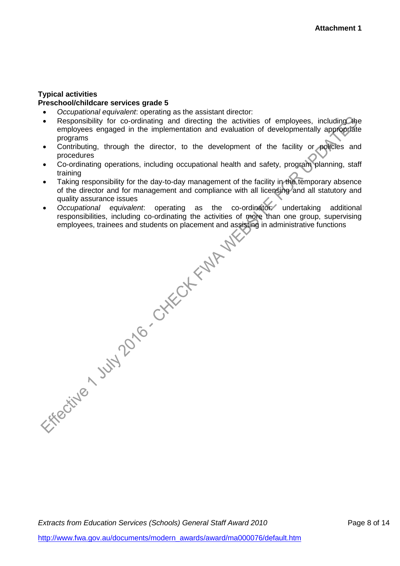## **Typical activities Preschool/childcare services grade 5**

- *Occupational equivalent*: operating as the assistant director:
- Responsibility for co-ordinating and directing the activities of employees, including the employees engaged in the implementation and evaluation of developmentally appropriate programs
- Contributing, through the director, to the development of the facility or policies and procedures
- Co-ordinating operations, including occupational health and safety, program planning, staff training
- Taking responsibility for the day-to-day management of the facility in the temporary absence of the director and for management and compliance with all licensing and all statutory and quality assurance issues
- *Cocupational equivalent*: operating as the co-ordinator: undertaking additional responsibilities, including co-ordinating the activities of more than one group, supervising employees, trainees and students on placement an responsibilities, including co-ordinating the activities of more than one group, supervising employees, trainees and students on placement and assisting in administrative functions

**Extracts from Education Services (Schools) General Staff Award 2010** Page 8 of 14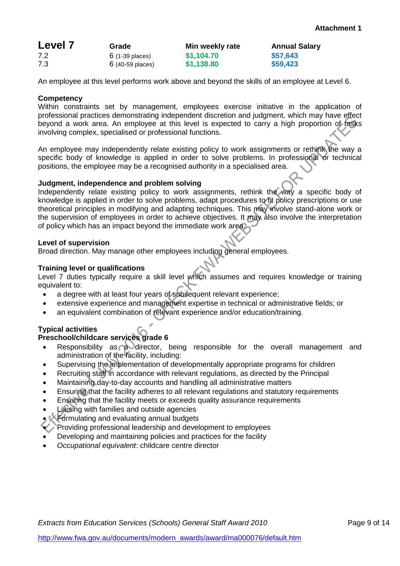| <b>Level 7</b> | Grade                     | Min weekly rate | <b>Annual Salary</b> |
|----------------|---------------------------|-----------------|----------------------|
| 7.2            | $6(1-39$ places)          | \$1,104.70      | \$57,643             |
| 7.3            | $6(40-59 \text{ places})$ | \$1,138.80      | \$59,423             |

An employee at this level performs work above and beyond the skills of an employee at Level 6.

## **Competency**

Within constraints set by management, employees exercise initiative in the application of professional practices demonstrating independent discretion and judgment, which may have effect beyond a work area. An employee at this level is expected to carry a high proportion of tasks involving complex, specialised or professional functions.

An employee may independently relate existing policy to work assignments or rethink the way a specific body of knowledge is applied in order to solve problems. In professional or technical positions, the employee may be a recognised authority in a specialised area.

#### **Judgment, independence and problem solving**

Independently relate existing policy to work assignments, rethink the way a specific body of knowledge is applied in order to solve problems, adapt procedures to fit policy prescriptions or use theoretical principles in modifying and adapting techniques. This may involve stand-alone work or the supervision of employees in order to achieve objectives. It may also involve the interpretation of policy which has an impact beyond the immediate work area.

## **Level of supervision**

Broad direction. May manage other employees including general employees.

# **Training level or qualifications**

Level 7 duties typically require a skill level which assumes and requires knowledge or training equivalent to:

- a degree with at least four years of subsequent relevant experience;
- extensive experience and management expertise in technical or administrative fields; or
- an equivalent combination of relevant experience and/or education/training.

# **Typical activities**

- Responsibility as a director, being responsible for the overall management and administration of the facility, including:
- Supervising the implementation of developmentally appropriate programs for children
- Recruiting staff in accordance with relevant regulations, as directed by the Principal
- Maintaining day-to-day accounts and handling all administrative matters
- Ensuring that the facility adheres to all relevant regulations and statutory requirements
- Ensuring that the facility meets or exceeds quality assurance requirements
- Liaising with families and outside agencies
- Formulating and evaluating annual budgets
- Providing professional leadership and development to employees
- Developing and maintaining policies and practices for the facility
- *Occupational equivalent*: childcare centre director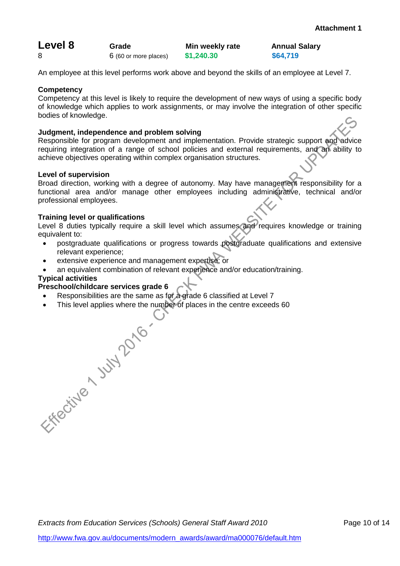| Level 8 | Grade                 | Min weekly rate | Annual   |
|---------|-----------------------|-----------------|----------|
|         | 6 (60 or more places) | \$1,240.30      | \$64,719 |

**Annual Salary<br>\$64.719** 

An employee at this level performs work above and beyond the skills of an employee at Level 7.

# **Competency**

Competency at this level is likely to require the development of new ways of using a specific body of knowledge which applies to work assignments, or may involve the integration of other specific bodies of knowledge.

# **Judgment, independence and problem solving**

Responsible for program development and implementation. Provide strategic support and advice requiring integration of a range of school policies and external requirements, and an ability to achieve objectives operating within complex organisation structures.

# **Level of supervision**

Broad direction, working with a degree of autonomy. May have management responsibility for a functional area and/or manage other employees including administrative, technical and/or professional employees.

# **Training level or qualifications**

Level 8 duties typically require a skill level which assumes and requires knowledge or training equivalent to:

- postgraduate qualifications or progress towards postgraduate qualifications and extensive relevant experience;
- extensive experience and management expertise; or
- an equivalent combination of relevant experience and/or education/training.

# **Typical activities**

- Responsibilities are the same as for a grade 6 classified at Level 7
- This level applies where the number of places in the centre exceeds 60<br>
A MAP<br>
A MAP<br>
A MAP<br>
A MAP<br>
A MAP<br>
A MAP<br>
A MAP<br>
A MAP<br>
A MAP<br>
A MAP<br>
A MAP<br>
A MAP<br>
A MAP<br>
A MAP<br>
A MAP<br>
A MAP AND A MAP<br>
A MAP AND A MAP<br>
A MAP AND A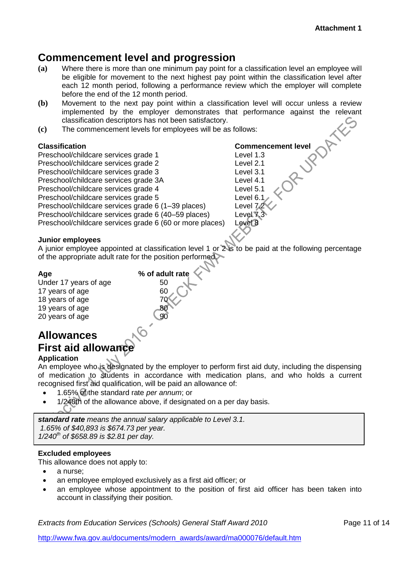# **Commencement level and progression**

- **(a)** Where there is more than one minimum pay point for a classification level an employee will be eligible for movement to the next highest pay point within the classification level after each 12 month period, following a performance review which the employer will complete before the end of the 12 month period.
- **(b)** Movement to the next pay point within a classification level will occur unless a review implemented by the employer demonstrates that performance against the relevant classification descriptors has not been satisfactory.
- **(c)** The commencement levels for employees will be as follows:

Classification<br>
Preschool/childcare services grade 1<br>
Preschool/childcare services grade 2<br>
Preschool/childcare services grade 3<br>
Preschool/childcare services grade 3<br>
Preschool/childcare services grade 3A<br>
Preschool/child Preschool/childcare services grade 1 Preschool/childcare services grade 2 Preschool/childcare services grade 3. Preschool/childcare services grade 3A Preschool/childcare services grade 4 Preschool/childcare services grade 5 Level 6.1 Preschool/childcare services grade 6 (1-39 places) Level 7.2 Preschool/childcare services grade 6 (40–59 places) Level 7.3<br>Preschool/childcare services grade 6 (60 or more places) Level 8 Preschool/childcare services grade 6 (60 or more places)

# **Junior employees**

A junior employee appointed at classification level 1 or 2 is to be paid at the following percentage of the appropriate adult rate for the position performed.

# **Age % of adult rate**

Under 17 years of age 50 17 years of age 60 18 years of age 70<br>19 years of age 80<br>20 years of age 90 19 years of age 20 years of age

# **Allowances First aid allowance**

# **Application**

An employee who is designated by the employer to perform first aid duty, including the dispensing of medication to students in accordance with medication plans, and who holds a current recognised first aid qualification, will be paid an allowance of:

- 1.65% of the standard rate *per annum*; or
- 1/240th of the allowance above, if designated on a per day basis.

*standard rate means the annual salary applicable to Level 3.1. 1.65% of \$40,893 is \$674.73 per year. 1/240th of \$658.89 is \$2.81 per day.*

# **Excluded employees**

This allowance does not apply to:

- a nurse;
- an employee employed exclusively as a first aid officer; or
- an employee whose appointment to the position of first aid officer has been taken into account in classifying their position.

*Extracts from Education Services (Schools) General Staff Award 2010* Page 11 of 14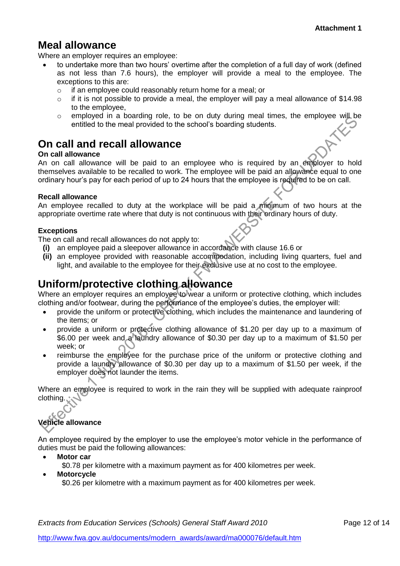# **Meal allowance**

Where an employer requires an employee:

- to undertake more than two hours' overtime after the completion of a full day of work (defined as not less than 7.6 hours), the employer will provide a meal to the employee. The exceptions to this are:
	- o if an employee could reasonably return home for a meal; or
	- o if it is not possible to provide a meal, the employer will pay a meal allowance of \$14.98 to the employee,
	- o employed in a boarding role, to be on duty during meal times, the employee will be entitled to the meal provided to the school's boarding students.

# **On call and recall allowance**

# **On call allowance**

An on call allowance will be paid to an employee who is required by an employer to hold themselves available to be recalled to work. The employee will be paid an allowance equal to one ordinary hour's pay for each period of up to 24 hours that the employee is required to be on call.

# **Recall allowance**

An employee recalled to duty at the workplace will be paid a minimum of two hours at the appropriate overtime rate where that duty is not continuous with their ordinary hours of duty.

# **Exceptions**

The on call and recall allowances do not apply to:

- **(i)** an employee paid a sleepover allowance in accordance with clause 16.6 or
- **(ii)** an employee provided with reasonable accommodation, including living quarters, fuel and light, and available to the employee for their exclusive use at no cost to the employee.

# **Uniform/protective clothing allowance**

Where an employer requires an employee to wear a uniform or protective clothing, which includes clothing and/or footwear, during the performance of the employee's duties, the employer will:

- provide the uniform or protective clothing, which includes the maintenance and laundering of the items; or
- provide a uniform or protective clothing allowance of \$1.20 per day up to a maximum of \$6.00 per week and a laundry allowance of \$0.30 per day up to a maximum of \$1.50 per week; or
- reimburse the employee for the purchase price of the uniform or protective clothing and provide a laundry allowance of \$0.30 per day up to a maximum of \$1.50 per week, if the employer does not launder the items.

Where an employee is required to work in the rain they will be supplied with adequate rainproof clothing.

# **Vehicle allowance**

An employee required by the employer to use the employee's motor vehicle in the performance of duties must be paid the following allowances:

- **Motor car**
	- \$0.78 per kilometre with a maximum payment as for 400 kilometres per week.
- **Motorcycle** \$0.26 per kilometre with a maximum payment as for 400 kilometres per week.

*Extracts from Education Services (Schools) General Staff Award 2010* Page 12 of 14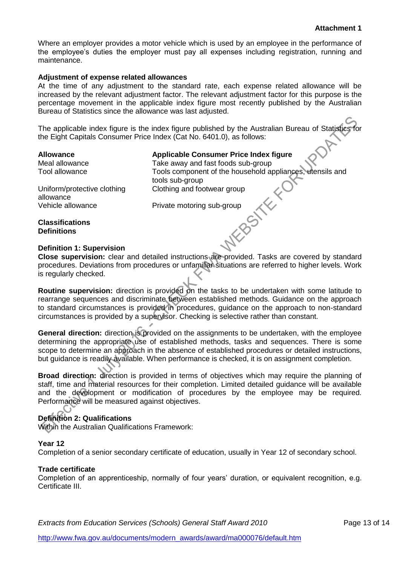Where an employer provides a motor vehicle which is used by an employee in the performance of the employee's duties the employer must pay all expenses including registration, running and maintenance.

#### **Adjustment of expense related allowances**

At the time of any adjustment to the standard rate, each expense related allowance will be increased by the relevant adjustment factor. The relevant adjustment factor for this purpose is the percentage movement in the applicable index figure most recently published by the Australian Bureau of Statistics since the allowance was last adjusted.

The applicable index figure is the index figure published by the Australian Bureau of Statistics for the Eight Capitals Consumer Price Index (Cat No. 6401.0), as follows:

## **Allowance Applicable Consumer Price Index figure**

Meal allowance Take away and fast foods sub-group Tool allowance Tools component of the household appliances, utensils and<br>
Uniform/protective clothing<br>
allowance<br>
Vehicle allowance<br>
Vehicle allowance<br> **Classifications<br>
Definition:** tools sub-group Clothing and footwear group

Uniform/protective clothing allowance

Vehicle allowance Private motoring sub-group

**Classifications Definitions**

# **Definition 1: Supervision**

**Close supervision:** clear and detailed instructions are provided. Tasks are covered by standard procedures. Deviations from procedures or unfamiliar situations are referred to higher levels. Work is regularly checked.

**Routine supervision:** direction is provided on the tasks to be undertaken with some latitude to rearrange sequences and discriminate between established methods. Guidance on the approach to standard circumstances is provided in procedures, guidance on the approach to non-standard circumstances is provided by a supervisor. Checking is selective rather than constant.

**General direction:** direction is provided on the assignments to be undertaken, with the employee determining the appropriate use of established methods, tasks and sequences. There is some scope to determine an approach in the absence of established procedures or detailed instructions, but guidance is readily available. When performance is checked, it is on assignment completion.

**Broad direction:** direction is provided in terms of objectives which may require the planning of staff, time and material resources for their completion. Limited detailed guidance will be available and the development or modification of procedures by the employee may be required. Performance will be measured against objectives.

# **Definition 2: Qualifications**

Within the Australian Qualifications Framework:

# **Year 12**

Completion of a senior secondary certificate of education, usually in Year 12 of secondary school.

# **Trade certificate**

 $\mathsf{C}_1$ 

Completion of an apprenticeship, normally of four years' duration, or equivalent recognition, e.g. Certificate III.

*Extracts from Education Services (Schools) General Staff Award 2010* Page 13 of 14